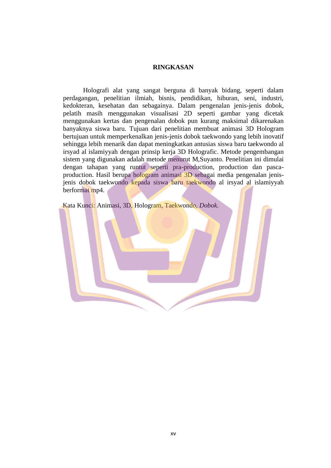## **RINGKASAN**

Holografi alat yang sangat berguna di banyak bidang, seperti dalam perdagangan, penelitian ilmiah, bisnis, pendidikan, hiburan, seni, industri, kedokteran, kesehatan dan sebagainya. Dalam pengenalan jenis-jenis dobok, pelatih masih menggunakan visualisasi 2D seperti gambar yang dicetak menggunakan kertas dan pengenalan dobok pun kurang maksimal dikarenakan banyaknya siswa baru. Tujuan dari penelitian membuat animasi 3D Hologram bertujuan untuk memperkenalkan jenis-jenis dobok taekwondo yang lebih inovatif sehingga lebih menarik dan dapat meningkatkan antusias siswa baru taekwondo al irsyad al islamiyyah dengan prinsip kerja 3D Holografic. Metode pengembangan sistem yang digunakan adalah metode menurut M,Suyanto. Penelitian ini dimulai dengan tahapan yang runtut seperti pra-production, production dan pascaproduction. Hasil berupa hologram animasi 3D sebagai media pengenalan jenisjenis dobok taekwondo kepada siswa baru taekwondo al irsyad al islamiyyah berformat mp4.

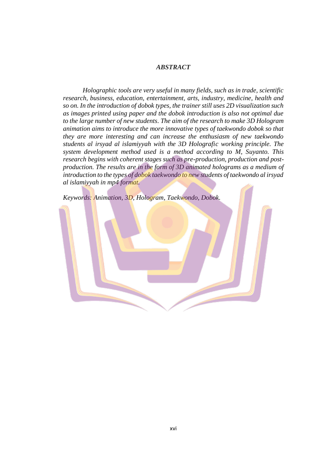## *ABSTRACT*

*Holographic tools are very useful in many fields, such as in trade, scientific research, business, education, entertainment, arts, industry, medicine, health and so on. In the introduction of dobok types, the trainer still uses 2D visualization such as images printed using paper and the dobok introduction is also not optimal due to the large number of new students. The aim of the research to make 3D Hologram animation aims to introduce the more innovative types of taekwondo dobok so that they are more interesting and can increase the enthusiasm of new taekwondo students al irsyad al islamiyyah with the 3D Holografic working principle. The system development method used is a method according to M, Suyanto. This research begins with coherent stages such as pre-production, production and postproduction. The results are in the form of 3D animated holograms as a medium of introduction to the types of dobok taekwondo to new students of taekwondo al irsyad al islamiyyah in mp4 format.*